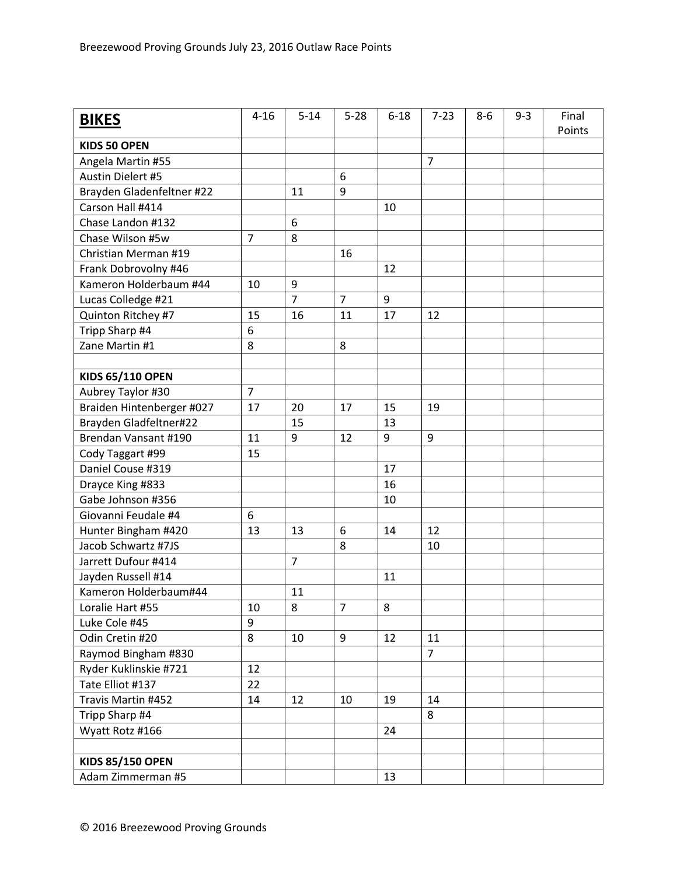| <b>BIKES</b>              | $4 - 16$       | $5 - 14$       | $5 - 28$         | $6 - 18$ | $7 - 23$       | $8-6$ | $9 - 3$ | Final<br>Points |
|---------------------------|----------------|----------------|------------------|----------|----------------|-------|---------|-----------------|
| <b>KIDS 50 OPEN</b>       |                |                |                  |          |                |       |         |                 |
| Angela Martin #55         |                |                |                  |          | $\overline{7}$ |       |         |                 |
| Austin Dielert #5         |                |                | 6                |          |                |       |         |                 |
| Brayden Gladenfeltner #22 |                | 11             | 9                |          |                |       |         |                 |
| Carson Hall #414          |                |                |                  | 10       |                |       |         |                 |
| Chase Landon #132         |                | 6              |                  |          |                |       |         |                 |
| Chase Wilson #5w          | $\overline{7}$ | 8              |                  |          |                |       |         |                 |
| Christian Merman #19      |                |                | 16               |          |                |       |         |                 |
| Frank Dobrovolny #46      |                |                |                  | 12       |                |       |         |                 |
| Kameron Holderbaum #44    | 10             | 9              |                  |          |                |       |         |                 |
| Lucas Colledge #21        |                | $\overline{7}$ | $\overline{7}$   | 9        |                |       |         |                 |
| Quinton Ritchey #7        | 15             | 16             | 11               | 17       | 12             |       |         |                 |
| Tripp Sharp #4            | 6              |                |                  |          |                |       |         |                 |
| Zane Martin #1            | 8              |                | 8                |          |                |       |         |                 |
|                           |                |                |                  |          |                |       |         |                 |
| <b>KIDS 65/110 OPEN</b>   |                |                |                  |          |                |       |         |                 |
| Aubrey Taylor #30         | $\overline{7}$ |                |                  |          |                |       |         |                 |
| Braiden Hintenberger #027 | 17             | 20             | 17               | 15       | 19             |       |         |                 |
| Brayden Gladfeltner#22    |                | 15             |                  | 13       |                |       |         |                 |
| Brendan Vansant #190      | 11             | 9              | 12               | 9        | $9\,$          |       |         |                 |
| Cody Taggart #99          | 15             |                |                  |          |                |       |         |                 |
| Daniel Couse #319         |                |                |                  | 17       |                |       |         |                 |
| Drayce King #833          |                |                |                  | 16       |                |       |         |                 |
| Gabe Johnson #356         |                |                |                  | 10       |                |       |         |                 |
| Giovanni Feudale #4       | 6              |                |                  |          |                |       |         |                 |
| Hunter Bingham #420       | 13             | 13             | $\boldsymbol{6}$ | 14       | 12             |       |         |                 |
| Jacob Schwartz #7JS       |                |                | 8                |          | 10             |       |         |                 |
| Jarrett Dufour #414       |                | $\overline{7}$ |                  |          |                |       |         |                 |
| Jayden Russell #14        |                |                |                  | 11       |                |       |         |                 |
| Kameron Holderbaum#44     |                | 11             |                  |          |                |       |         |                 |
| Loralie Hart #55          | 10             | 8              | $\overline{7}$   | 8        |                |       |         |                 |
| Luke Cole #45             | 9              |                |                  |          |                |       |         |                 |
| Odin Cretin #20           | 8              | 10             | 9                | 12       | 11             |       |         |                 |
| Raymod Bingham #830       |                |                |                  |          | $\overline{7}$ |       |         |                 |
| Ryder Kuklinskie #721     | 12             |                |                  |          |                |       |         |                 |
| Tate Elliot #137          | 22             |                |                  |          |                |       |         |                 |
| Travis Martin #452        | 14             | 12             | 10               | 19       | 14             |       |         |                 |
| Tripp Sharp #4            |                |                |                  |          | 8              |       |         |                 |
| Wyatt Rotz #166           |                |                |                  | 24       |                |       |         |                 |
|                           |                |                |                  |          |                |       |         |                 |
| <b>KIDS 85/150 OPEN</b>   |                |                |                  |          |                |       |         |                 |
| Adam Zimmerman #5         |                |                |                  | 13       |                |       |         |                 |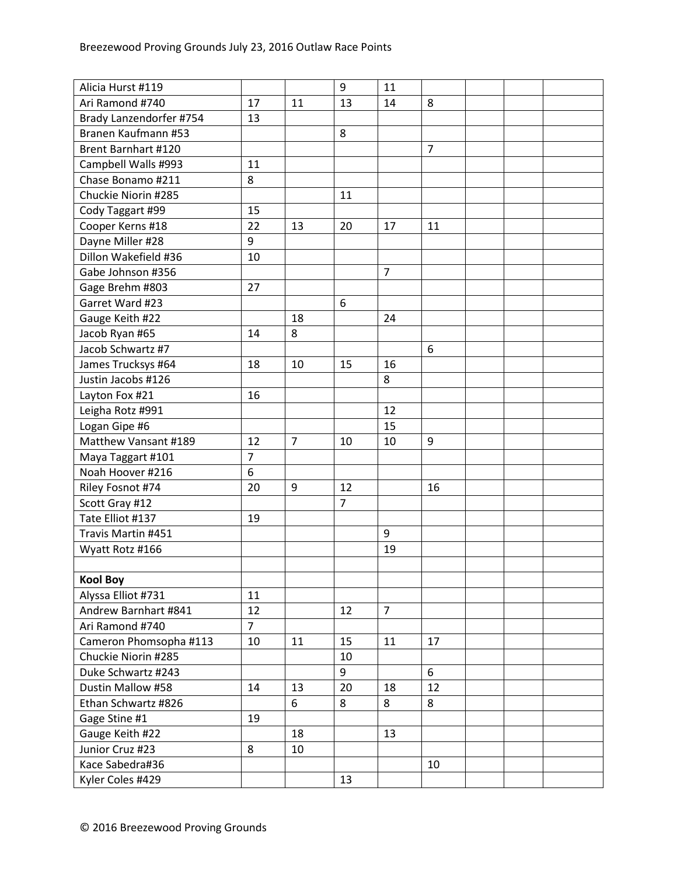| Alicia Hurst #119       |                |                | 9                | 11             |                |  |  |
|-------------------------|----------------|----------------|------------------|----------------|----------------|--|--|
| Ari Ramond #740         | 17             | 11             | 13               | 14             | 8              |  |  |
| Brady Lanzendorfer #754 | 13             |                |                  |                |                |  |  |
| Branen Kaufmann #53     |                |                | 8                |                |                |  |  |
| Brent Barnhart #120     |                |                |                  |                | $\overline{7}$ |  |  |
| Campbell Walls #993     | 11             |                |                  |                |                |  |  |
| Chase Bonamo #211       | 8              |                |                  |                |                |  |  |
| Chuckie Niorin #285     |                |                | 11               |                |                |  |  |
| Cody Taggart #99        | 15             |                |                  |                |                |  |  |
| Cooper Kerns #18        | 22             | 13             | 20               | 17             | 11             |  |  |
| Dayne Miller #28        | 9              |                |                  |                |                |  |  |
| Dillon Wakefield #36    | 10             |                |                  |                |                |  |  |
| Gabe Johnson #356       |                |                |                  | $\overline{7}$ |                |  |  |
| Gage Brehm #803         | 27             |                |                  |                |                |  |  |
| Garret Ward #23         |                |                | $\boldsymbol{6}$ |                |                |  |  |
| Gauge Keith #22         |                | 18             |                  | 24             |                |  |  |
| Jacob Ryan #65          | 14             | 8              |                  |                |                |  |  |
| Jacob Schwartz #7       |                |                |                  |                | 6              |  |  |
| James Trucksys #64      | 18             | 10             | 15               | 16             |                |  |  |
| Justin Jacobs #126      |                |                |                  | 8              |                |  |  |
| Layton Fox #21          | 16             |                |                  |                |                |  |  |
| Leigha Rotz #991        |                |                |                  | 12             |                |  |  |
| Logan Gipe #6           |                |                |                  | 15             |                |  |  |
| Matthew Vansant #189    | 12             | $\overline{7}$ | 10               | 10             | 9              |  |  |
| Maya Taggart #101       | $\overline{7}$ |                |                  |                |                |  |  |
| Noah Hoover #216        | 6              |                |                  |                |                |  |  |
| Riley Fosnot #74        | 20             | 9              | 12               |                | 16             |  |  |
| Scott Gray #12          |                |                | $\overline{7}$   |                |                |  |  |
| Tate Elliot #137        | 19             |                |                  |                |                |  |  |
| Travis Martin #451      |                |                |                  | 9              |                |  |  |
| Wyatt Rotz #166         |                |                |                  | 19             |                |  |  |
|                         |                |                |                  |                |                |  |  |
| <b>Kool Boy</b>         |                |                |                  |                |                |  |  |
| Alyssa Elliot #731      | 11             |                |                  |                |                |  |  |
| Andrew Barnhart #841    | 12             |                | 12               | $\overline{7}$ |                |  |  |
| Ari Ramond #740         | $\overline{7}$ |                |                  |                |                |  |  |
| Cameron Phomsopha #113  | 10             | 11             | 15               | 11             | 17             |  |  |
| Chuckie Niorin #285     |                |                | 10               |                |                |  |  |
| Duke Schwartz #243      |                |                | 9                |                | 6              |  |  |
| Dustin Mallow #58       | 14             | 13             | 20               | 18             | 12             |  |  |
| Ethan Schwartz #826     |                | 6              | 8                | 8              | 8              |  |  |
| Gage Stine #1           | 19             |                |                  |                |                |  |  |
| Gauge Keith #22         |                | 18             |                  | 13             |                |  |  |
| Junior Cruz #23         | 8              | 10             |                  |                |                |  |  |
| Kace Sabedra#36         |                |                |                  |                | 10             |  |  |
| Kyler Coles #429        |                |                | 13               |                |                |  |  |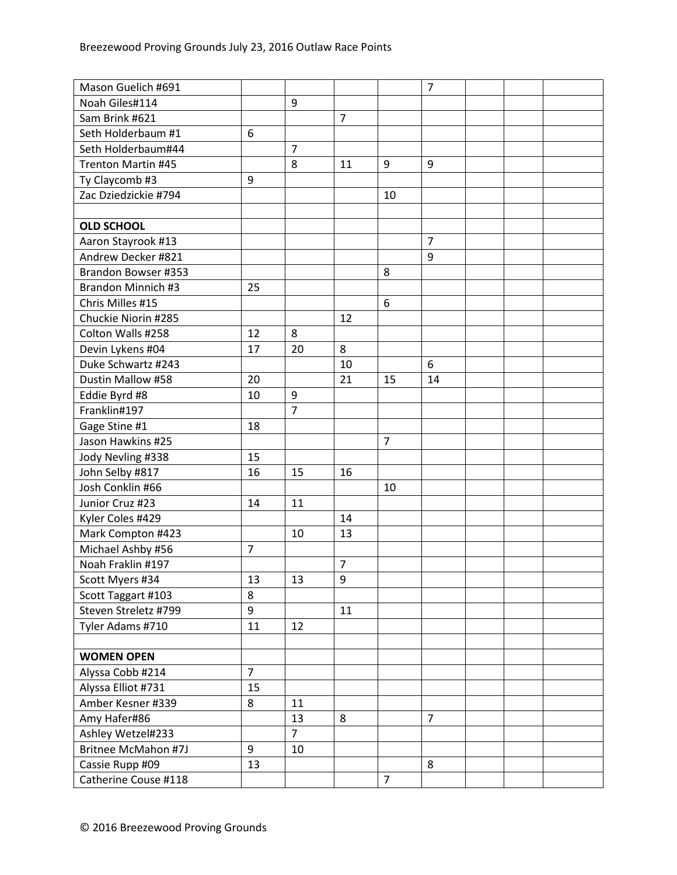| Mason Guelich #691         |                |                |                |                | $\overline{7}$ |  |  |
|----------------------------|----------------|----------------|----------------|----------------|----------------|--|--|
| Noah Giles#114             |                | 9              |                |                |                |  |  |
| Sam Brink #621             |                |                | $\overline{7}$ |                |                |  |  |
| Seth Holderbaum #1         | 6              |                |                |                |                |  |  |
| Seth Holderbaum#44         |                | $\overline{7}$ |                |                |                |  |  |
| <b>Trenton Martin #45</b>  |                | 8              | 11             | 9              | 9              |  |  |
| Ty Claycomb #3             | 9              |                |                |                |                |  |  |
| Zac Dziedzickie #794       |                |                |                | 10             |                |  |  |
|                            |                |                |                |                |                |  |  |
| <b>OLD SCHOOL</b>          |                |                |                |                |                |  |  |
| Aaron Stayrook #13         |                |                |                |                | $\overline{7}$ |  |  |
| Andrew Decker #821         |                |                |                |                | 9              |  |  |
| Brandon Bowser #353        |                |                |                | 8              |                |  |  |
| Brandon Minnich #3         | 25             |                |                |                |                |  |  |
| Chris Milles #15           |                |                |                | 6              |                |  |  |
| Chuckie Niorin #285        |                |                | 12             |                |                |  |  |
| Colton Walls #258          | 12             | 8              |                |                |                |  |  |
| Devin Lykens #04           | 17             | 20             | 8              |                |                |  |  |
| Duke Schwartz #243         |                |                | 10             |                | 6              |  |  |
| Dustin Mallow #58          | 20             |                | 21             | 15             | 14             |  |  |
| Eddie Byrd #8              | 10             | 9              |                |                |                |  |  |
| Franklin#197               |                | $\overline{7}$ |                |                |                |  |  |
| Gage Stine #1              | 18             |                |                |                |                |  |  |
| Jason Hawkins #25          |                |                |                | $\overline{7}$ |                |  |  |
| Jody Nevling #338          | 15             |                |                |                |                |  |  |
| John Selby #817            | 16             | 15             | 16             |                |                |  |  |
| Josh Conklin #66           |                |                |                | 10             |                |  |  |
| Junior Cruz #23            | 14             | 11             |                |                |                |  |  |
| Kyler Coles #429           |                |                | 14             |                |                |  |  |
| Mark Compton #423          |                | 10             | 13             |                |                |  |  |
| Michael Ashby #56          | $\overline{7}$ |                |                |                |                |  |  |
| Noah Fraklin #197          |                |                | $\overline{7}$ |                |                |  |  |
| Scott Myers #34            | 13             | 13             | 9              |                |                |  |  |
| Scott Taggart #103         | 8              |                |                |                |                |  |  |
| Steven Streletz #799       | 9              |                | 11             |                |                |  |  |
| Tyler Adams #710           | 11             | 12             |                |                |                |  |  |
|                            |                |                |                |                |                |  |  |
| <b>WOMEN OPEN</b>          |                |                |                |                |                |  |  |
| Alyssa Cobb #214           | $\overline{7}$ |                |                |                |                |  |  |
| Alyssa Elliot #731         | 15             |                |                |                |                |  |  |
| Amber Kesner #339          | 8              | 11             |                |                |                |  |  |
| Amy Hafer#86               |                | 13             | 8              |                | $\overline{7}$ |  |  |
| Ashley Wetzel#233          |                | $\overline{7}$ |                |                |                |  |  |
| <b>Britnee McMahon #7J</b> | 9              | 10             |                |                |                |  |  |
| Cassie Rupp #09            | 13             |                |                |                | 8              |  |  |
| Catherine Couse #118       |                |                |                | $\overline{7}$ |                |  |  |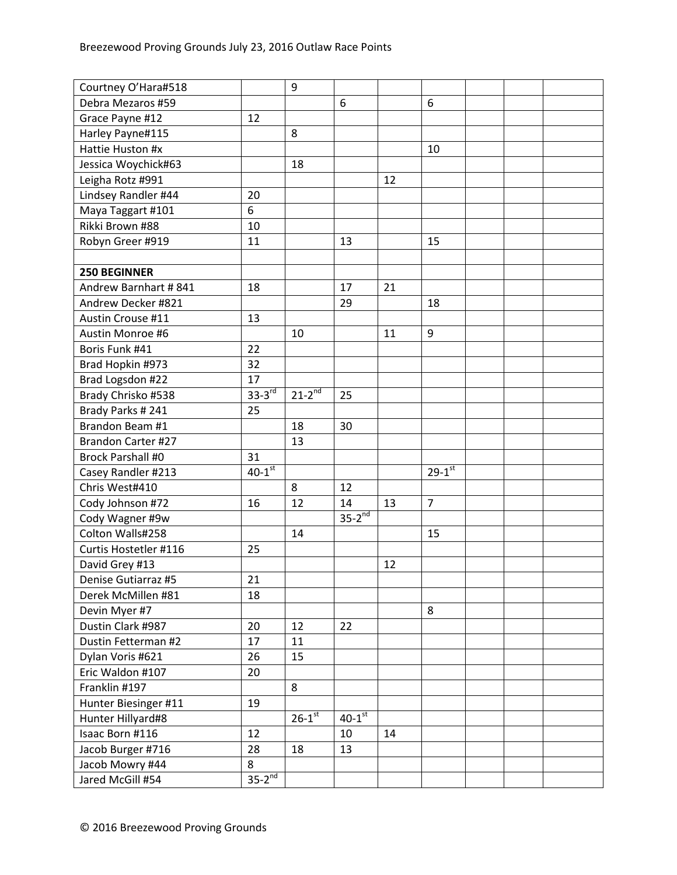| Courtney O'Hara#518       |                      | 9                      |                      |    |                        |  |  |
|---------------------------|----------------------|------------------------|----------------------|----|------------------------|--|--|
| Debra Mezaros #59         |                      |                        | 6                    |    | 6                      |  |  |
| Grace Payne #12           | 12                   |                        |                      |    |                        |  |  |
| Harley Payne#115          |                      | 8                      |                      |    |                        |  |  |
| Hattie Huston #x          |                      |                        |                      |    | 10                     |  |  |
| Jessica Woychick#63       |                      | 18                     |                      |    |                        |  |  |
| Leigha Rotz #991          |                      |                        |                      | 12 |                        |  |  |
| Lindsey Randler #44       | 20                   |                        |                      |    |                        |  |  |
| Maya Taggart #101         | 6                    |                        |                      |    |                        |  |  |
| Rikki Brown #88           | 10                   |                        |                      |    |                        |  |  |
| Robyn Greer #919          | 11                   |                        | 13                   |    | 15                     |  |  |
|                           |                      |                        |                      |    |                        |  |  |
| <b>250 BEGINNER</b>       |                      |                        |                      |    |                        |  |  |
| Andrew Barnhart #841      | 18                   |                        | 17                   | 21 |                        |  |  |
| Andrew Decker #821        |                      |                        | 29                   |    | 18                     |  |  |
| Austin Crouse #11         | 13                   |                        |                      |    |                        |  |  |
| Austin Monroe #6          |                      | 10                     |                      | 11 | 9                      |  |  |
| Boris Funk #41            | 22                   |                        |                      |    |                        |  |  |
| Brad Hopkin #973          | 32                   |                        |                      |    |                        |  |  |
| Brad Logsdon #22          | 17                   |                        |                      |    |                        |  |  |
| Brady Chrisko #538        | $33-3rd$             | $21 - 2^{nd}$          | 25                   |    |                        |  |  |
| Brady Parks #241          | 25                   |                        |                      |    |                        |  |  |
| Brandon Beam #1           |                      | 18                     | 30                   |    |                        |  |  |
| <b>Brandon Carter #27</b> |                      | 13                     |                      |    |                        |  |  |
| <b>Brock Parshall #0</b>  | 31                   |                        |                      |    |                        |  |  |
| Casey Randler #213        | $40-1$ <sup>st</sup> |                        |                      |    | $29 - 1$ <sup>st</sup> |  |  |
| Chris West#410            |                      | 8                      | 12                   |    |                        |  |  |
| Cody Johnson #72          | 16                   | 12                     | 14                   | 13 | $\overline{7}$         |  |  |
| Cody Wagner #9w           |                      |                        | $35-2^{nd}$          |    |                        |  |  |
| Colton Walls#258          |                      | 14                     |                      |    | 15                     |  |  |
| Curtis Hostetler #116     | 25                   |                        |                      |    |                        |  |  |
| David Grey #13            |                      |                        |                      | 12 |                        |  |  |
| Denise Gutiarraz #5       | 21                   |                        |                      |    |                        |  |  |
| Derek McMillen #81        | 18                   |                        |                      |    |                        |  |  |
| Devin Myer #7             |                      |                        |                      |    | 8                      |  |  |
| Dustin Clark #987         | 20                   | 12                     | 22                   |    |                        |  |  |
| Dustin Fetterman #2       | 17                   | 11                     |                      |    |                        |  |  |
| Dylan Voris #621          | 26                   | 15                     |                      |    |                        |  |  |
| Eric Waldon #107          | 20                   |                        |                      |    |                        |  |  |
| Franklin #197             |                      | 8                      |                      |    |                        |  |  |
| Hunter Biesinger #11      | 19                   |                        |                      |    |                        |  |  |
| Hunter Hillyard#8         |                      | $26 - 1$ <sup>st</sup> | $40-1$ <sup>st</sup> |    |                        |  |  |
| Isaac Born #116           | 12                   |                        | 10                   | 14 |                        |  |  |
| Jacob Burger #716         | 28                   | 18                     | 13                   |    |                        |  |  |
| Jacob Mowry #44           | 8                    |                        |                      |    |                        |  |  |
| Jared McGill #54          | $35-2^{nd}$          |                        |                      |    |                        |  |  |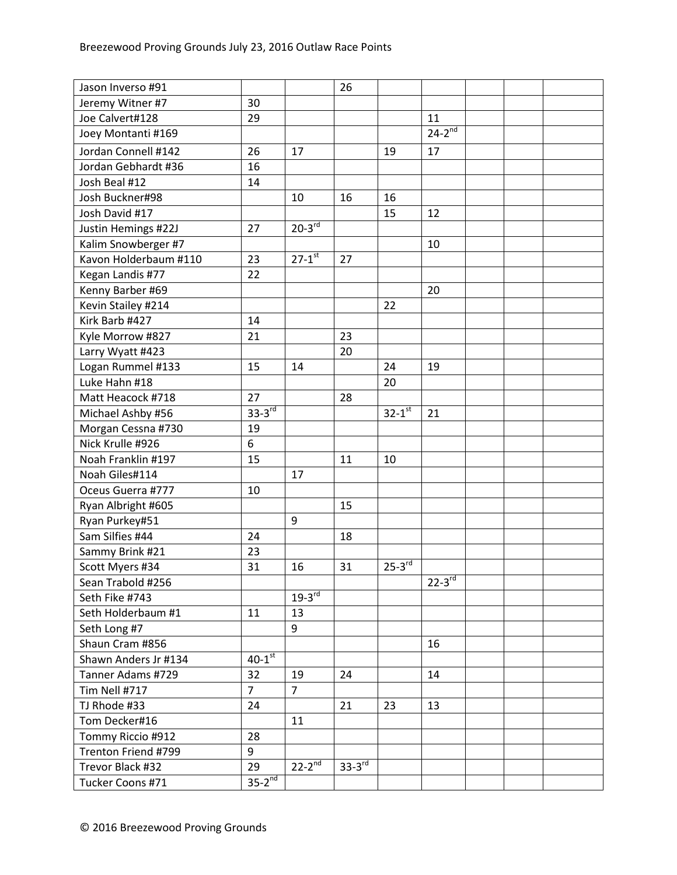| Jason Inverso #91     |                      |                          | 26            |                        |               |  |  |
|-----------------------|----------------------|--------------------------|---------------|------------------------|---------------|--|--|
| Jeremy Witner #7      | 30                   |                          |               |                        |               |  |  |
| Joe Calvert#128       | 29                   |                          |               |                        | 11            |  |  |
| Joey Montanti #169    |                      |                          |               |                        | $24-2^{nd}$   |  |  |
| Jordan Connell #142   | 26                   | 17                       |               | 19                     | 17            |  |  |
| Jordan Gebhardt #36   | 16                   |                          |               |                        |               |  |  |
| Josh Beal #12         | 14                   |                          |               |                        |               |  |  |
| Josh Buckner#98       |                      | 10                       | 16            | 16                     |               |  |  |
| Josh David #17        |                      |                          |               | 15                     | 12            |  |  |
| Justin Hemings #22J   | 27                   | $20-3^{rd}$              |               |                        |               |  |  |
| Kalim Snowberger #7   |                      |                          |               |                        | 10            |  |  |
| Kavon Holderbaum #110 | 23                   | $27 - 1$ <sup>st</sup>   | 27            |                        |               |  |  |
| Kegan Landis #77      | 22                   |                          |               |                        |               |  |  |
| Kenny Barber #69      |                      |                          |               |                        | 20            |  |  |
| Kevin Stailey #214    |                      |                          |               | 22                     |               |  |  |
| Kirk Barb #427        | 14                   |                          |               |                        |               |  |  |
| Kyle Morrow #827      | 21                   |                          | 23            |                        |               |  |  |
| Larry Wyatt #423      |                      |                          | 20            |                        |               |  |  |
| Logan Rummel #133     | 15                   | 14                       |               | 24                     | 19            |  |  |
| Luke Hahn #18         |                      |                          |               | 20                     |               |  |  |
| Matt Heacock #718     | 27                   |                          | 28            |                        |               |  |  |
| Michael Ashby #56     | $33-3^{rd}$          |                          |               | $32-1$ st              | 21            |  |  |
| Morgan Cessna #730    | 19                   |                          |               |                        |               |  |  |
| Nick Krulle #926      | 6                    |                          |               |                        |               |  |  |
| Noah Franklin #197    | 15                   |                          | 11            | 10                     |               |  |  |
| Noah Giles#114        |                      | 17                       |               |                        |               |  |  |
| Oceus Guerra #777     | 10                   |                          |               |                        |               |  |  |
| Ryan Albright #605    |                      |                          | 15            |                        |               |  |  |
| Ryan Purkey#51        |                      | 9                        |               |                        |               |  |  |
| Sam Silfies #44       | 24                   |                          | 18            |                        |               |  |  |
| Sammy Brink #21       | 23                   |                          |               |                        |               |  |  |
| Scott Myers #34       | 31                   | 16                       | 31            | $25 - 3$ <sup>rd</sup> |               |  |  |
| Sean Trabold #256     |                      |                          |               |                        | $22 - 3^{rd}$ |  |  |
| Seth Fike #743        |                      | $19-3^{rd}$              |               |                        |               |  |  |
| Seth Holderbaum #1    | 11                   | 13                       |               |                        |               |  |  |
| Seth Long #7          |                      | 9                        |               |                        |               |  |  |
| Shaun Cram #856       |                      |                          |               |                        | 16            |  |  |
| Shawn Anders Jr #134  | $40-1$ <sup>st</sup> |                          |               |                        |               |  |  |
| Tanner Adams #729     | 32                   | 19                       | 24            |                        | 14            |  |  |
| Tim Nell #717         | $\overline{7}$       | $\overline{7}$           |               |                        |               |  |  |
| TJ Rhode #33          | 24                   |                          | 21            | 23                     | 13            |  |  |
| Tom Decker#16         |                      | 11                       |               |                        |               |  |  |
| Tommy Riccio #912     | 28                   |                          |               |                        |               |  |  |
| Trenton Friend #799   | 9                    |                          |               |                        |               |  |  |
| Trevor Black #32      | 29                   | $22 - 2^{\overline{nd}}$ | $33 - 3^{rd}$ |                        |               |  |  |
| Tucker Coons #71      | $35-2^{nd}$          |                          |               |                        |               |  |  |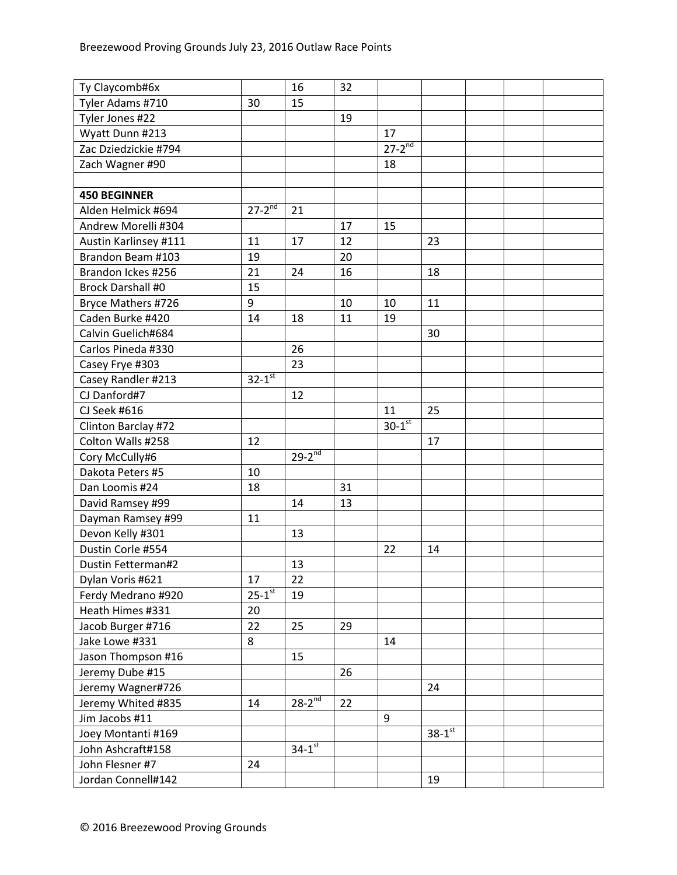| Ty Claycomb#6x           |               | 16                       | 32 |                      |                      |  |  |
|--------------------------|---------------|--------------------------|----|----------------------|----------------------|--|--|
| Tyler Adams #710         | 30            | 15                       |    |                      |                      |  |  |
| Tyler Jones #22          |               |                          | 19 |                      |                      |  |  |
| Wyatt Dunn #213          |               |                          |    | 17                   |                      |  |  |
| Zac Dziedzickie #794     |               |                          |    | $27-2^{nd}$          |                      |  |  |
| Zach Wagner #90          |               |                          |    | 18                   |                      |  |  |
|                          |               |                          |    |                      |                      |  |  |
| <b>450 BEGINNER</b>      |               |                          |    |                      |                      |  |  |
| Alden Helmick #694       | $27 - 2^{nd}$ | 21                       |    |                      |                      |  |  |
| Andrew Morelli #304      |               |                          | 17 | 15                   |                      |  |  |
| Austin Karlinsey #111    | 11            | 17                       | 12 |                      | 23                   |  |  |
| Brandon Beam #103        | 19            |                          | 20 |                      |                      |  |  |
| Brandon Ickes #256       | 21            | 24                       | 16 |                      | 18                   |  |  |
| <b>Brock Darshall #0</b> | 15            |                          |    |                      |                      |  |  |
| Bryce Mathers #726       | 9             |                          | 10 | 10                   | 11                   |  |  |
| Caden Burke #420         | 14            | 18                       | 11 | 19                   |                      |  |  |
| Calvin Guelich#684       |               |                          |    |                      | 30                   |  |  |
| Carlos Pineda #330       |               | 26                       |    |                      |                      |  |  |
| Casey Frye #303          |               | 23                       |    |                      |                      |  |  |
| Casey Randler #213       | $32 - 1^{st}$ |                          |    |                      |                      |  |  |
| CJ Danford#7             |               | 12                       |    |                      |                      |  |  |
| CJ Seek #616             |               |                          |    | 11                   | 25                   |  |  |
| Clinton Barclay #72      |               |                          |    | $30-1$ <sup>st</sup> |                      |  |  |
| Colton Walls #258        | 12            |                          |    |                      | 17                   |  |  |
| Cory McCully#6           |               | $29-2^{nd}$              |    |                      |                      |  |  |
| Dakota Peters #5         | 10            |                          |    |                      |                      |  |  |
| Dan Loomis #24           | 18            |                          | 31 |                      |                      |  |  |
| David Ramsey #99         |               | 14                       | 13 |                      |                      |  |  |
| Dayman Ramsey #99        | 11            |                          |    |                      |                      |  |  |
| Devon Kelly #301         |               | 13                       |    |                      |                      |  |  |
| Dustin Corle #554        |               |                          |    | 22                   | 14                   |  |  |
| Dustin Fetterman#2       |               | 13                       |    |                      |                      |  |  |
| Dylan Voris #621         | 17            | 22                       |    |                      |                      |  |  |
| Ferdy Medrano #920       | $25 - 1^{st}$ | 19                       |    |                      |                      |  |  |
| Heath Himes #331         | 20            |                          |    |                      |                      |  |  |
| Jacob Burger #716        | 22            | 25                       | 29 |                      |                      |  |  |
| Jake Lowe #331           | 8             |                          |    | 14                   |                      |  |  |
| Jason Thompson #16       |               | 15                       |    |                      |                      |  |  |
| Jeremy Dube #15          |               |                          | 26 |                      |                      |  |  |
| Jeremy Wagner#726        |               |                          |    |                      | 24                   |  |  |
| Jeremy Whited #835       | 14            | $28 - 2^{\overline{nd}}$ | 22 |                      |                      |  |  |
| Jim Jacobs #11           |               |                          |    | 9                    |                      |  |  |
| Joey Montanti #169       |               |                          |    |                      | $38-1$ <sup>st</sup> |  |  |
| John Ashcraft#158        |               | $34-1$ <sup>st</sup>     |    |                      |                      |  |  |
| John Flesner #7          | 24            |                          |    |                      |                      |  |  |
| Jordan Connell#142       |               |                          |    |                      | 19                   |  |  |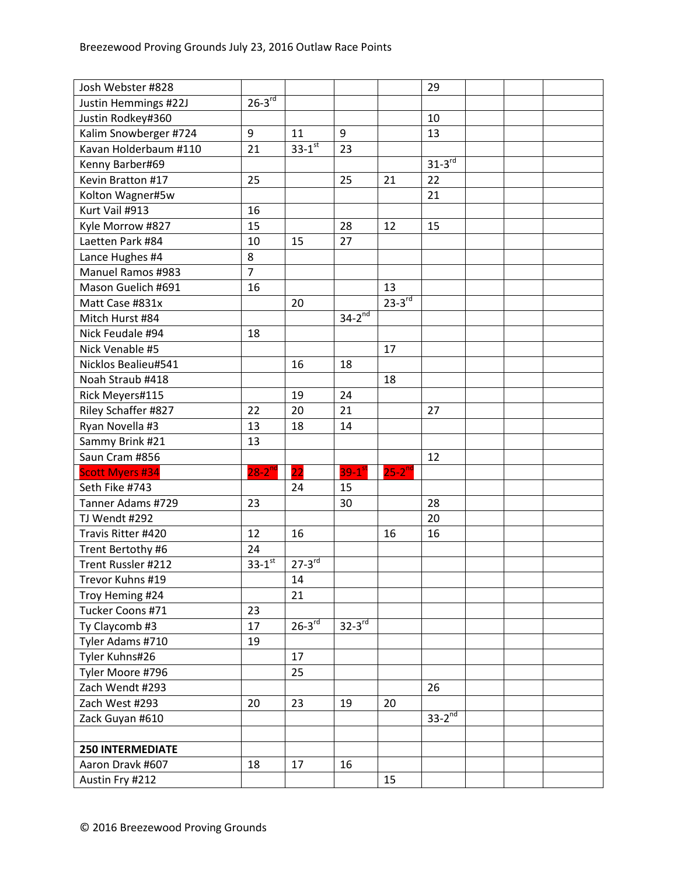| Josh Webster #828        |                |                        |                      |               | 29          |  |  |
|--------------------------|----------------|------------------------|----------------------|---------------|-------------|--|--|
| Justin Hemmings #22J     | $26-3^{rd}$    |                        |                      |               |             |  |  |
| Justin Rodkey#360        |                |                        |                      |               | 10          |  |  |
| Kalim Snowberger #724    | 9              | 11                     | 9                    |               | 13          |  |  |
| Kavan Holderbaum #110    | 21             | $33 - 1$ <sup>st</sup> | 23                   |               |             |  |  |
| Kenny Barber#69          |                |                        |                      |               | $31-3^{rd}$ |  |  |
| Kevin Bratton #17        | 25             |                        | 25                   | 21            | 22          |  |  |
| Kolton Wagner#5w         |                |                        |                      |               | 21          |  |  |
| Kurt Vail #913           | 16             |                        |                      |               |             |  |  |
| Kyle Morrow #827         | 15             |                        | 28                   | 12            | 15          |  |  |
| Laetten Park #84         | 10             | 15                     | 27                   |               |             |  |  |
| Lance Hughes #4          | 8              |                        |                      |               |             |  |  |
| <b>Manuel Ramos #983</b> | $\overline{7}$ |                        |                      |               |             |  |  |
| Mason Guelich #691       | 16             |                        |                      | 13            |             |  |  |
| Matt Case #831x          |                | 20                     |                      | $23-3^{rd}$   |             |  |  |
| Mitch Hurst #84          |                |                        | $34-2^{nd}$          |               |             |  |  |
| Nick Feudale #94         | 18             |                        |                      |               |             |  |  |
| Nick Venable #5          |                |                        |                      | 17            |             |  |  |
| Nicklos Bealieu#541      |                | 16                     | 18                   |               |             |  |  |
| Noah Straub #418         |                |                        |                      | 18            |             |  |  |
| Rick Meyers#115          |                | 19                     | 24                   |               |             |  |  |
| Riley Schaffer #827      | 22             | 20                     | 21                   |               | 27          |  |  |
| Ryan Novella #3          | 13             | 18                     | 14                   |               |             |  |  |
| Sammy Brink #21          | 13             |                        |                      |               |             |  |  |
| Saun Cram #856           |                |                        |                      |               | 12          |  |  |
| <b>Scott Myers #34</b>   | $28 - 2^{nd}$  | 22                     | $39-1^{st}$          | $25 - 2^{nd}$ |             |  |  |
| Seth Fike #743           |                | 24                     | 15                   |               |             |  |  |
| Tanner Adams #729        | 23             |                        | 30                   |               | 28          |  |  |
| TJ Wendt #292            |                |                        |                      |               | 20          |  |  |
| Travis Ritter #420       | 12             | 16                     |                      | 16            | 16          |  |  |
| Trent Bertothy #6        | 24             |                        |                      |               |             |  |  |
| Trent Russler #212       | $33 - 1$ st    | $27 - 3$ <sup>rd</sup> |                      |               |             |  |  |
| Trevor Kuhns #19         |                | 14                     |                      |               |             |  |  |
| Troy Heming #24          |                | 21                     |                      |               |             |  |  |
| Tucker Coons #71         | 23             |                        |                      |               |             |  |  |
| Ty Claycomb #3           | 17             | $26-3$ <sup>rd</sup>   | $32-3$ <sup>rd</sup> |               |             |  |  |
| Tyler Adams #710         | 19             |                        |                      |               |             |  |  |
| Tyler Kuhns#26           |                | 17                     |                      |               |             |  |  |
| Tyler Moore #796         |                | 25                     |                      |               |             |  |  |
| Zach Wendt #293          |                |                        |                      |               | 26          |  |  |
| Zach West #293           | 20             | 23                     | 19                   | 20            |             |  |  |
| Zack Guyan #610          |                |                        |                      |               | $33-2^{nd}$ |  |  |
|                          |                |                        |                      |               |             |  |  |
| <b>250 INTERMEDIATE</b>  |                |                        |                      |               |             |  |  |
| Aaron Dravk #607         | 18             | 17                     | 16                   |               |             |  |  |
| Austin Fry #212          |                |                        |                      | 15            |             |  |  |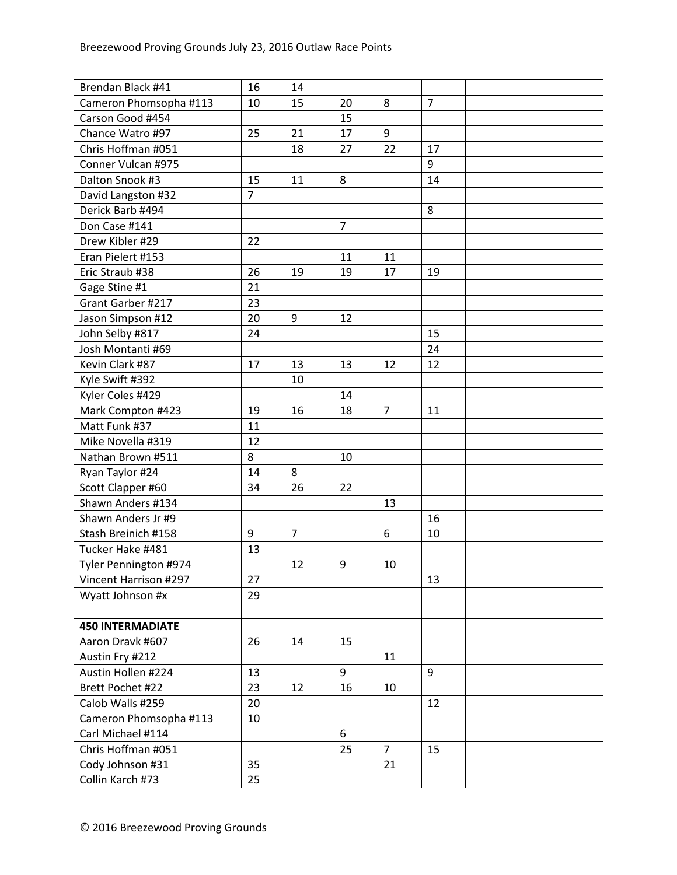| Brendan Black #41       | 16             | 14             |                |                |                |  |  |
|-------------------------|----------------|----------------|----------------|----------------|----------------|--|--|
| Cameron Phomsopha #113  | 10             | 15             | 20             | 8              | $\overline{7}$ |  |  |
| Carson Good #454        |                |                | 15             |                |                |  |  |
| Chance Watro #97        | 25             | 21             | 17             | 9              |                |  |  |
| Chris Hoffman #051      |                | 18             | 27             | 22             | 17             |  |  |
| Conner Vulcan #975      |                |                |                |                | 9              |  |  |
| Dalton Snook #3         | 15             | 11             | 8              |                | 14             |  |  |
| David Langston #32      | $\overline{7}$ |                |                |                |                |  |  |
| Derick Barb #494        |                |                |                |                | 8              |  |  |
| Don Case #141           |                |                | $\overline{7}$ |                |                |  |  |
| Drew Kibler #29         | 22             |                |                |                |                |  |  |
| Eran Pielert #153       |                |                | 11             | 11             |                |  |  |
| Eric Straub #38         | 26             | 19             | 19             | 17             | 19             |  |  |
| Gage Stine #1           | 21             |                |                |                |                |  |  |
| Grant Garber #217       | 23             |                |                |                |                |  |  |
| Jason Simpson #12       | 20             | 9              | 12             |                |                |  |  |
| John Selby #817         | 24             |                |                |                | 15             |  |  |
| Josh Montanti #69       |                |                |                |                | 24             |  |  |
| Kevin Clark #87         | 17             | 13             | 13             | 12             | 12             |  |  |
| Kyle Swift #392         |                | 10             |                |                |                |  |  |
| Kyler Coles #429        |                |                | 14             |                |                |  |  |
| Mark Compton #423       | 19             | 16             | 18             | 7              | 11             |  |  |
| Matt Funk #37           | 11             |                |                |                |                |  |  |
| Mike Novella #319       | 12             |                |                |                |                |  |  |
| Nathan Brown #511       | 8              |                | 10             |                |                |  |  |
| Ryan Taylor #24         | 14             | 8              |                |                |                |  |  |
| Scott Clapper #60       | 34             | 26             | 22             |                |                |  |  |
| Shawn Anders #134       |                |                |                | 13             |                |  |  |
| Shawn Anders Jr #9      |                |                |                |                | 16             |  |  |
| Stash Breinich #158     | 9              | $\overline{7}$ |                | 6              | 10             |  |  |
| Tucker Hake #481        | 13             |                |                |                |                |  |  |
| Tyler Pennington #974   |                | 12             | 9              | 10             |                |  |  |
| Vincent Harrison #297   | 27             |                |                |                | 13             |  |  |
| Wyatt Johnson #x        | 29             |                |                |                |                |  |  |
|                         |                |                |                |                |                |  |  |
| <b>450 INTERMADIATE</b> |                |                |                |                |                |  |  |
| Aaron Dravk #607        | 26             | 14             | 15             |                |                |  |  |
| Austin Fry #212         |                |                |                | 11             |                |  |  |
| Austin Hollen #224      | 13             |                | 9              |                | 9              |  |  |
| Brett Pochet #22        | 23             | 12             | 16             | 10             |                |  |  |
| Calob Walls #259        | 20             |                |                |                | 12             |  |  |
| Cameron Phomsopha #113  | 10             |                |                |                |                |  |  |
| Carl Michael #114       |                |                | 6              |                |                |  |  |
| Chris Hoffman #051      |                |                | 25             | $\overline{7}$ | 15             |  |  |
| Cody Johnson #31        | 35             |                |                | 21             |                |  |  |
| Collin Karch #73        | 25             |                |                |                |                |  |  |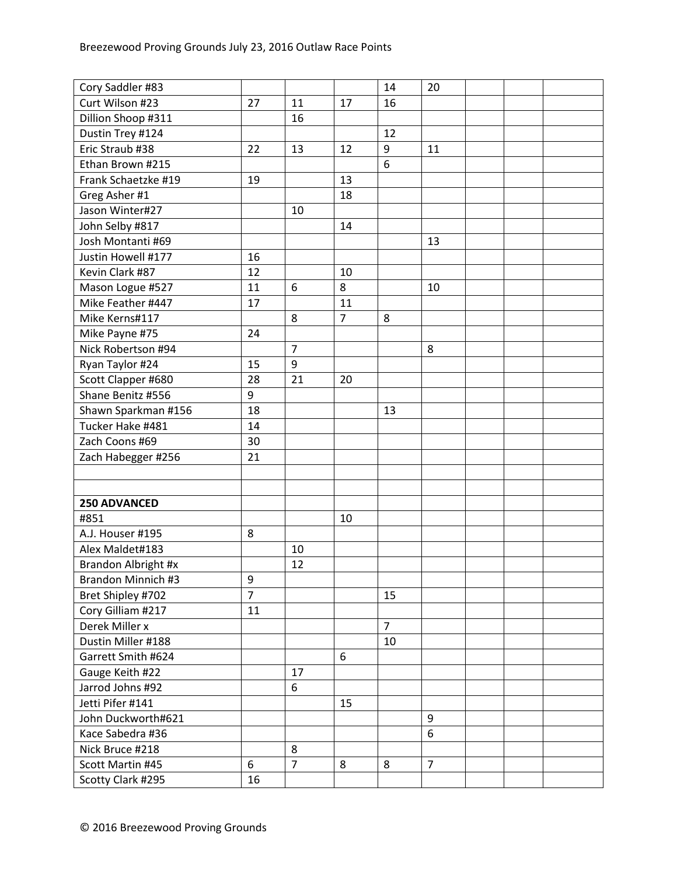| Curt Wilson #23<br>27<br>16<br>11<br>17<br>Dillion Shoop #311<br>16<br>Dustin Trey #124<br>12<br>Eric Straub #38<br>22<br>13<br>12<br>9<br>11<br>6<br>Ethan Brown #215<br>Frank Schaetzke #19<br>19<br>13<br>Greg Asher #1<br>18<br>Jason Winter#27<br>10<br>John Selby #817<br>14<br>Josh Montanti #69<br>13<br>Justin Howell #177<br>16<br>Kevin Clark #87<br>12<br>10<br>Mason Logue #527<br>11<br>8<br>6<br>10<br>Mike Feather #447<br>17<br>11<br>$\overline{7}$<br>Mike Kerns#117<br>8<br>8<br>Mike Payne #75<br>24<br>$\overline{7}$<br>Nick Robertson #94<br>8<br>9<br>Ryan Taylor #24<br>15<br>28<br>21<br>Scott Clapper #680<br>20<br>Shane Benitz #556<br>9<br>Shawn Sparkman #156<br>18<br>13<br>Tucker Hake #481<br>14<br>Zach Coons #69<br>30<br>Zach Habegger #256<br>21<br>250 ADVANCED<br>#851<br>10<br>8<br>A.J. Houser #195<br>Alex Maldet#183<br>10<br>12<br>Brandon Albright #x<br>Brandon Minnich #3<br>$\boldsymbol{9}$<br>$\overline{7}$<br>Bret Shipley #702<br>15<br>Cory Gilliam #217<br>11<br>Derek Miller x<br>$\overline{7}$<br>Dustin Miller #188<br>10<br>Garrett Smith #624<br>6<br>Gauge Keith #22<br>17<br>Jarrod Johns #92<br>6<br>Jetti Pifer #141<br>15<br>John Duckworth#621<br>9<br>6<br>Kace Sabedra #36<br>Nick Bruce #218<br>8<br>$\overline{7}$<br>$\overline{7}$<br>Scott Martin #45<br>6<br>8<br>8<br>Scotty Clark #295<br>16 | Cory Saddler #83 |  | 14 | 20 |  |  |
|-----------------------------------------------------------------------------------------------------------------------------------------------------------------------------------------------------------------------------------------------------------------------------------------------------------------------------------------------------------------------------------------------------------------------------------------------------------------------------------------------------------------------------------------------------------------------------------------------------------------------------------------------------------------------------------------------------------------------------------------------------------------------------------------------------------------------------------------------------------------------------------------------------------------------------------------------------------------------------------------------------------------------------------------------------------------------------------------------------------------------------------------------------------------------------------------------------------------------------------------------------------------------------------------------------------------------------------------------------------------------------|------------------|--|----|----|--|--|
|                                                                                                                                                                                                                                                                                                                                                                                                                                                                                                                                                                                                                                                                                                                                                                                                                                                                                                                                                                                                                                                                                                                                                                                                                                                                                                                                                                             |                  |  |    |    |  |  |
|                                                                                                                                                                                                                                                                                                                                                                                                                                                                                                                                                                                                                                                                                                                                                                                                                                                                                                                                                                                                                                                                                                                                                                                                                                                                                                                                                                             |                  |  |    |    |  |  |
|                                                                                                                                                                                                                                                                                                                                                                                                                                                                                                                                                                                                                                                                                                                                                                                                                                                                                                                                                                                                                                                                                                                                                                                                                                                                                                                                                                             |                  |  |    |    |  |  |
|                                                                                                                                                                                                                                                                                                                                                                                                                                                                                                                                                                                                                                                                                                                                                                                                                                                                                                                                                                                                                                                                                                                                                                                                                                                                                                                                                                             |                  |  |    |    |  |  |
|                                                                                                                                                                                                                                                                                                                                                                                                                                                                                                                                                                                                                                                                                                                                                                                                                                                                                                                                                                                                                                                                                                                                                                                                                                                                                                                                                                             |                  |  |    |    |  |  |
|                                                                                                                                                                                                                                                                                                                                                                                                                                                                                                                                                                                                                                                                                                                                                                                                                                                                                                                                                                                                                                                                                                                                                                                                                                                                                                                                                                             |                  |  |    |    |  |  |
|                                                                                                                                                                                                                                                                                                                                                                                                                                                                                                                                                                                                                                                                                                                                                                                                                                                                                                                                                                                                                                                                                                                                                                                                                                                                                                                                                                             |                  |  |    |    |  |  |
|                                                                                                                                                                                                                                                                                                                                                                                                                                                                                                                                                                                                                                                                                                                                                                                                                                                                                                                                                                                                                                                                                                                                                                                                                                                                                                                                                                             |                  |  |    |    |  |  |
|                                                                                                                                                                                                                                                                                                                                                                                                                                                                                                                                                                                                                                                                                                                                                                                                                                                                                                                                                                                                                                                                                                                                                                                                                                                                                                                                                                             |                  |  |    |    |  |  |
|                                                                                                                                                                                                                                                                                                                                                                                                                                                                                                                                                                                                                                                                                                                                                                                                                                                                                                                                                                                                                                                                                                                                                                                                                                                                                                                                                                             |                  |  |    |    |  |  |
|                                                                                                                                                                                                                                                                                                                                                                                                                                                                                                                                                                                                                                                                                                                                                                                                                                                                                                                                                                                                                                                                                                                                                                                                                                                                                                                                                                             |                  |  |    |    |  |  |
|                                                                                                                                                                                                                                                                                                                                                                                                                                                                                                                                                                                                                                                                                                                                                                                                                                                                                                                                                                                                                                                                                                                                                                                                                                                                                                                                                                             |                  |  |    |    |  |  |
|                                                                                                                                                                                                                                                                                                                                                                                                                                                                                                                                                                                                                                                                                                                                                                                                                                                                                                                                                                                                                                                                                                                                                                                                                                                                                                                                                                             |                  |  |    |    |  |  |
|                                                                                                                                                                                                                                                                                                                                                                                                                                                                                                                                                                                                                                                                                                                                                                                                                                                                                                                                                                                                                                                                                                                                                                                                                                                                                                                                                                             |                  |  |    |    |  |  |
|                                                                                                                                                                                                                                                                                                                                                                                                                                                                                                                                                                                                                                                                                                                                                                                                                                                                                                                                                                                                                                                                                                                                                                                                                                                                                                                                                                             |                  |  |    |    |  |  |
|                                                                                                                                                                                                                                                                                                                                                                                                                                                                                                                                                                                                                                                                                                                                                                                                                                                                                                                                                                                                                                                                                                                                                                                                                                                                                                                                                                             |                  |  |    |    |  |  |
|                                                                                                                                                                                                                                                                                                                                                                                                                                                                                                                                                                                                                                                                                                                                                                                                                                                                                                                                                                                                                                                                                                                                                                                                                                                                                                                                                                             |                  |  |    |    |  |  |
|                                                                                                                                                                                                                                                                                                                                                                                                                                                                                                                                                                                                                                                                                                                                                                                                                                                                                                                                                                                                                                                                                                                                                                                                                                                                                                                                                                             |                  |  |    |    |  |  |
|                                                                                                                                                                                                                                                                                                                                                                                                                                                                                                                                                                                                                                                                                                                                                                                                                                                                                                                                                                                                                                                                                                                                                                                                                                                                                                                                                                             |                  |  |    |    |  |  |
|                                                                                                                                                                                                                                                                                                                                                                                                                                                                                                                                                                                                                                                                                                                                                                                                                                                                                                                                                                                                                                                                                                                                                                                                                                                                                                                                                                             |                  |  |    |    |  |  |
|                                                                                                                                                                                                                                                                                                                                                                                                                                                                                                                                                                                                                                                                                                                                                                                                                                                                                                                                                                                                                                                                                                                                                                                                                                                                                                                                                                             |                  |  |    |    |  |  |
|                                                                                                                                                                                                                                                                                                                                                                                                                                                                                                                                                                                                                                                                                                                                                                                                                                                                                                                                                                                                                                                                                                                                                                                                                                                                                                                                                                             |                  |  |    |    |  |  |
|                                                                                                                                                                                                                                                                                                                                                                                                                                                                                                                                                                                                                                                                                                                                                                                                                                                                                                                                                                                                                                                                                                                                                                                                                                                                                                                                                                             |                  |  |    |    |  |  |
|                                                                                                                                                                                                                                                                                                                                                                                                                                                                                                                                                                                                                                                                                                                                                                                                                                                                                                                                                                                                                                                                                                                                                                                                                                                                                                                                                                             |                  |  |    |    |  |  |
|                                                                                                                                                                                                                                                                                                                                                                                                                                                                                                                                                                                                                                                                                                                                                                                                                                                                                                                                                                                                                                                                                                                                                                                                                                                                                                                                                                             |                  |  |    |    |  |  |
|                                                                                                                                                                                                                                                                                                                                                                                                                                                                                                                                                                                                                                                                                                                                                                                                                                                                                                                                                                                                                                                                                                                                                                                                                                                                                                                                                                             |                  |  |    |    |  |  |
|                                                                                                                                                                                                                                                                                                                                                                                                                                                                                                                                                                                                                                                                                                                                                                                                                                                                                                                                                                                                                                                                                                                                                                                                                                                                                                                                                                             |                  |  |    |    |  |  |
|                                                                                                                                                                                                                                                                                                                                                                                                                                                                                                                                                                                                                                                                                                                                                                                                                                                                                                                                                                                                                                                                                                                                                                                                                                                                                                                                                                             |                  |  |    |    |  |  |
|                                                                                                                                                                                                                                                                                                                                                                                                                                                                                                                                                                                                                                                                                                                                                                                                                                                                                                                                                                                                                                                                                                                                                                                                                                                                                                                                                                             |                  |  |    |    |  |  |
|                                                                                                                                                                                                                                                                                                                                                                                                                                                                                                                                                                                                                                                                                                                                                                                                                                                                                                                                                                                                                                                                                                                                                                                                                                                                                                                                                                             |                  |  |    |    |  |  |
|                                                                                                                                                                                                                                                                                                                                                                                                                                                                                                                                                                                                                                                                                                                                                                                                                                                                                                                                                                                                                                                                                                                                                                                                                                                                                                                                                                             |                  |  |    |    |  |  |
|                                                                                                                                                                                                                                                                                                                                                                                                                                                                                                                                                                                                                                                                                                                                                                                                                                                                                                                                                                                                                                                                                                                                                                                                                                                                                                                                                                             |                  |  |    |    |  |  |
|                                                                                                                                                                                                                                                                                                                                                                                                                                                                                                                                                                                                                                                                                                                                                                                                                                                                                                                                                                                                                                                                                                                                                                                                                                                                                                                                                                             |                  |  |    |    |  |  |
|                                                                                                                                                                                                                                                                                                                                                                                                                                                                                                                                                                                                                                                                                                                                                                                                                                                                                                                                                                                                                                                                                                                                                                                                                                                                                                                                                                             |                  |  |    |    |  |  |
|                                                                                                                                                                                                                                                                                                                                                                                                                                                                                                                                                                                                                                                                                                                                                                                                                                                                                                                                                                                                                                                                                                                                                                                                                                                                                                                                                                             |                  |  |    |    |  |  |
|                                                                                                                                                                                                                                                                                                                                                                                                                                                                                                                                                                                                                                                                                                                                                                                                                                                                                                                                                                                                                                                                                                                                                                                                                                                                                                                                                                             |                  |  |    |    |  |  |
|                                                                                                                                                                                                                                                                                                                                                                                                                                                                                                                                                                                                                                                                                                                                                                                                                                                                                                                                                                                                                                                                                                                                                                                                                                                                                                                                                                             |                  |  |    |    |  |  |
|                                                                                                                                                                                                                                                                                                                                                                                                                                                                                                                                                                                                                                                                                                                                                                                                                                                                                                                                                                                                                                                                                                                                                                                                                                                                                                                                                                             |                  |  |    |    |  |  |
|                                                                                                                                                                                                                                                                                                                                                                                                                                                                                                                                                                                                                                                                                                                                                                                                                                                                                                                                                                                                                                                                                                                                                                                                                                                                                                                                                                             |                  |  |    |    |  |  |
|                                                                                                                                                                                                                                                                                                                                                                                                                                                                                                                                                                                                                                                                                                                                                                                                                                                                                                                                                                                                                                                                                                                                                                                                                                                                                                                                                                             |                  |  |    |    |  |  |
|                                                                                                                                                                                                                                                                                                                                                                                                                                                                                                                                                                                                                                                                                                                                                                                                                                                                                                                                                                                                                                                                                                                                                                                                                                                                                                                                                                             |                  |  |    |    |  |  |
|                                                                                                                                                                                                                                                                                                                                                                                                                                                                                                                                                                                                                                                                                                                                                                                                                                                                                                                                                                                                                                                                                                                                                                                                                                                                                                                                                                             |                  |  |    |    |  |  |
|                                                                                                                                                                                                                                                                                                                                                                                                                                                                                                                                                                                                                                                                                                                                                                                                                                                                                                                                                                                                                                                                                                                                                                                                                                                                                                                                                                             |                  |  |    |    |  |  |
|                                                                                                                                                                                                                                                                                                                                                                                                                                                                                                                                                                                                                                                                                                                                                                                                                                                                                                                                                                                                                                                                                                                                                                                                                                                                                                                                                                             |                  |  |    |    |  |  |
|                                                                                                                                                                                                                                                                                                                                                                                                                                                                                                                                                                                                                                                                                                                                                                                                                                                                                                                                                                                                                                                                                                                                                                                                                                                                                                                                                                             |                  |  |    |    |  |  |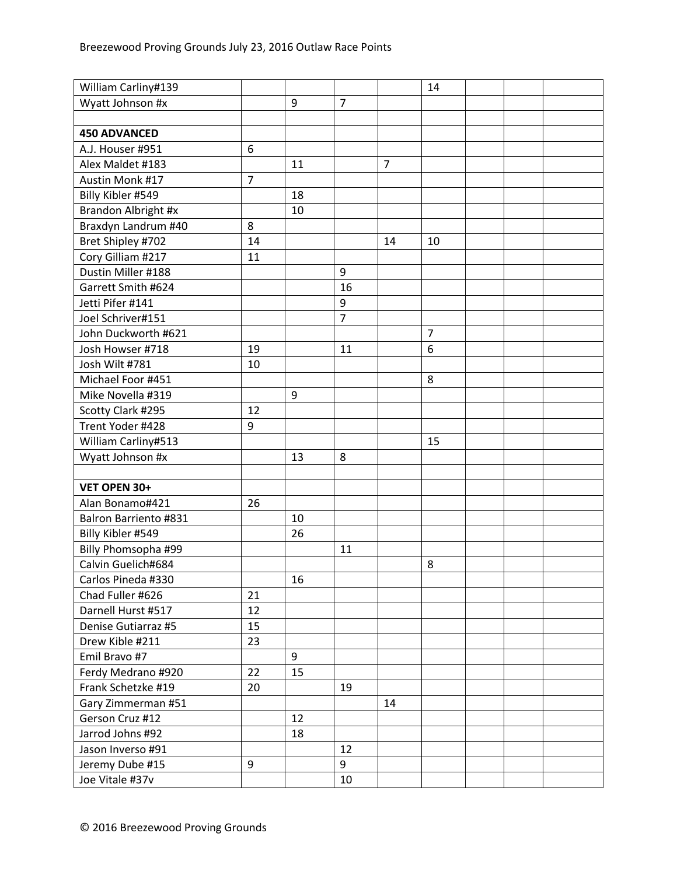| William Carliny#139   |                |    |                |                | 14             |  |  |
|-----------------------|----------------|----|----------------|----------------|----------------|--|--|
| Wyatt Johnson #x      |                | 9  | $\overline{7}$ |                |                |  |  |
|                       |                |    |                |                |                |  |  |
| <b>450 ADVANCED</b>   |                |    |                |                |                |  |  |
| A.J. Houser #951      | 6              |    |                |                |                |  |  |
| Alex Maldet #183      |                | 11 |                | $\overline{7}$ |                |  |  |
| Austin Monk #17       | $\overline{7}$ |    |                |                |                |  |  |
| Billy Kibler #549     |                | 18 |                |                |                |  |  |
| Brandon Albright #x   |                | 10 |                |                |                |  |  |
| Braxdyn Landrum #40   | 8              |    |                |                |                |  |  |
| Bret Shipley #702     | 14             |    |                | 14             | 10             |  |  |
| Cory Gilliam #217     | 11             |    |                |                |                |  |  |
| Dustin Miller #188    |                |    | 9              |                |                |  |  |
| Garrett Smith #624    |                |    | 16             |                |                |  |  |
| Jetti Pifer #141      |                |    | 9              |                |                |  |  |
| Joel Schriver#151     |                |    | $\overline{7}$ |                |                |  |  |
| John Duckworth #621   |                |    |                |                | $\overline{7}$ |  |  |
| Josh Howser #718      | 19             |    | 11             |                | 6              |  |  |
| Josh Wilt #781        | 10             |    |                |                |                |  |  |
| Michael Foor #451     |                |    |                |                | 8              |  |  |
| Mike Novella #319     |                | 9  |                |                |                |  |  |
| Scotty Clark #295     | 12             |    |                |                |                |  |  |
| Trent Yoder #428      | 9              |    |                |                |                |  |  |
| William Carliny#513   |                |    |                |                | 15             |  |  |
| Wyatt Johnson #x      |                | 13 | 8              |                |                |  |  |
|                       |                |    |                |                |                |  |  |
| VET OPEN 30+          |                |    |                |                |                |  |  |
| Alan Bonamo#421       | 26             |    |                |                |                |  |  |
| Balron Barriento #831 |                | 10 |                |                |                |  |  |
| Billy Kibler #549     |                | 26 |                |                |                |  |  |
| Billy Phomsopha #99   |                |    | 11             |                |                |  |  |
| Calvin Guelich#684    |                |    |                |                | 8              |  |  |
| Carlos Pineda #330    |                | 16 |                |                |                |  |  |
| Chad Fuller #626      | 21             |    |                |                |                |  |  |
| Darnell Hurst #517    | 12             |    |                |                |                |  |  |
| Denise Gutiarraz #5   | 15             |    |                |                |                |  |  |
| Drew Kible #211       | 23             |    |                |                |                |  |  |
| Emil Bravo #7         |                | 9  |                |                |                |  |  |
| Ferdy Medrano #920    | 22             | 15 |                |                |                |  |  |
| Frank Schetzke #19    | 20             |    | 19             |                |                |  |  |
| Gary Zimmerman #51    |                |    |                | 14             |                |  |  |
| Gerson Cruz #12       |                | 12 |                |                |                |  |  |
| Jarrod Johns #92      |                | 18 |                |                |                |  |  |
| Jason Inverso #91     |                |    | 12             |                |                |  |  |
| Jeremy Dube #15       | 9              |    | 9              |                |                |  |  |
| Joe Vitale #37v       |                |    | 10             |                |                |  |  |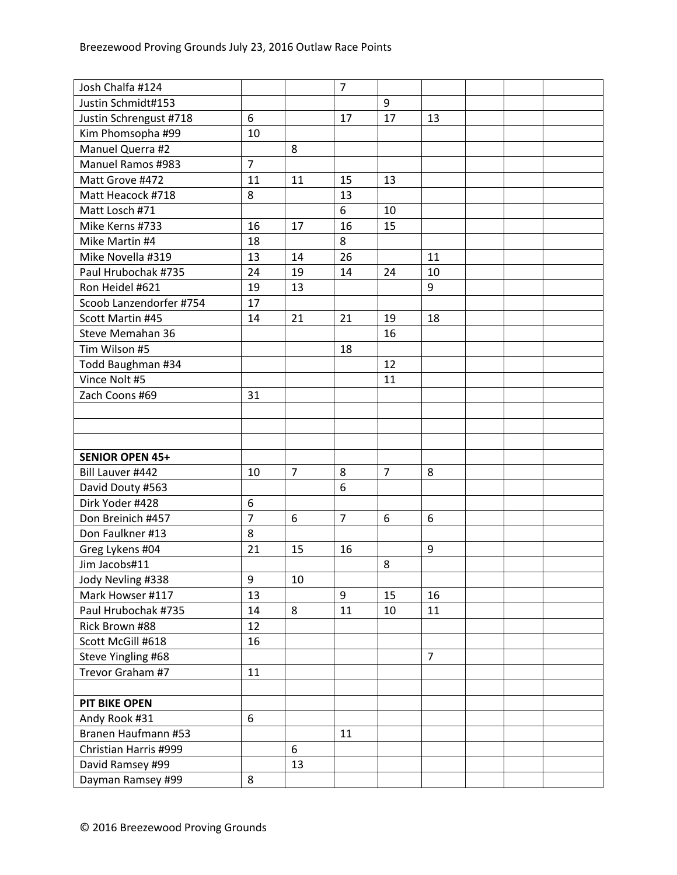| Josh Chalfa #124         |                  |                | $\overline{7}$ |                |                |  |
|--------------------------|------------------|----------------|----------------|----------------|----------------|--|
| Justin Schmidt#153       |                  |                |                | 9              |                |  |
| Justin Schrengust #718   | 6                |                | 17             | 17             | 13             |  |
| Kim Phomsopha #99        | 10               |                |                |                |                |  |
| Manuel Querra #2         |                  | 8              |                |                |                |  |
| <b>Manuel Ramos #983</b> | $\overline{7}$   |                |                |                |                |  |
| Matt Grove #472          | 11               | 11             | 15             | 13             |                |  |
| Matt Heacock #718        | 8                |                | 13             |                |                |  |
| Matt Losch #71           |                  |                | 6              | 10             |                |  |
| Mike Kerns #733          | 16               | 17             | 16             | 15             |                |  |
| Mike Martin #4           | 18               |                | 8              |                |                |  |
| Mike Novella #319        | 13               | 14             | 26             |                | 11             |  |
| Paul Hrubochak #735      | 24               | 19             | 14             | 24             | 10             |  |
| Ron Heidel #621          | 19               | 13             |                |                | 9              |  |
| Scoob Lanzendorfer #754  | 17               |                |                |                |                |  |
| Scott Martin #45         | 14               | 21             | 21             | 19             | 18             |  |
| Steve Memahan 36         |                  |                |                | 16             |                |  |
| Tim Wilson #5            |                  |                | 18             |                |                |  |
| Todd Baughman #34        |                  |                |                | 12             |                |  |
| Vince Nolt #5            |                  |                |                | 11             |                |  |
| Zach Coons #69           | 31               |                |                |                |                |  |
|                          |                  |                |                |                |                |  |
|                          |                  |                |                |                |                |  |
|                          |                  |                |                |                |                |  |
| <b>SENIOR OPEN 45+</b>   |                  |                |                |                |                |  |
| Bill Lauver #442         | 10               | $\overline{7}$ | 8              | $\overline{7}$ | 8              |  |
| David Douty #563         |                  |                | 6              |                |                |  |
| Dirk Yoder #428          | $\boldsymbol{6}$ |                |                |                |                |  |
| Don Breinich #457        | $\overline{7}$   | 6              | $\overline{7}$ | 6              | 6              |  |
| Don Faulkner #13         | 8                |                |                |                |                |  |
| Greg Lykens #04          | 21               | 15             | 16             |                | 9              |  |
| Jim Jacobs#11            |                  |                |                | 8              |                |  |
| Jody Nevling #338        | 9                | 10             |                |                |                |  |
| Mark Howser #117         | 13               |                | 9              | 15             | 16             |  |
| Paul Hrubochak #735      | 14               | 8              | 11             | 10             | 11             |  |
| Rick Brown #88           | 12               |                |                |                |                |  |
| Scott McGill #618        | 16               |                |                |                |                |  |
| Steve Yingling #68       |                  |                |                |                | $\overline{7}$ |  |
| Trevor Graham #7         | 11               |                |                |                |                |  |
|                          |                  |                |                |                |                |  |
| <b>PIT BIKE OPEN</b>     |                  |                |                |                |                |  |
| Andy Rook #31            | 6                |                |                |                |                |  |
| Branen Haufmann #53      |                  |                | 11             |                |                |  |
| Christian Harris #999    |                  | 6              |                |                |                |  |
| David Ramsey #99         |                  | 13             |                |                |                |  |
| Dayman Ramsey #99        | 8                |                |                |                |                |  |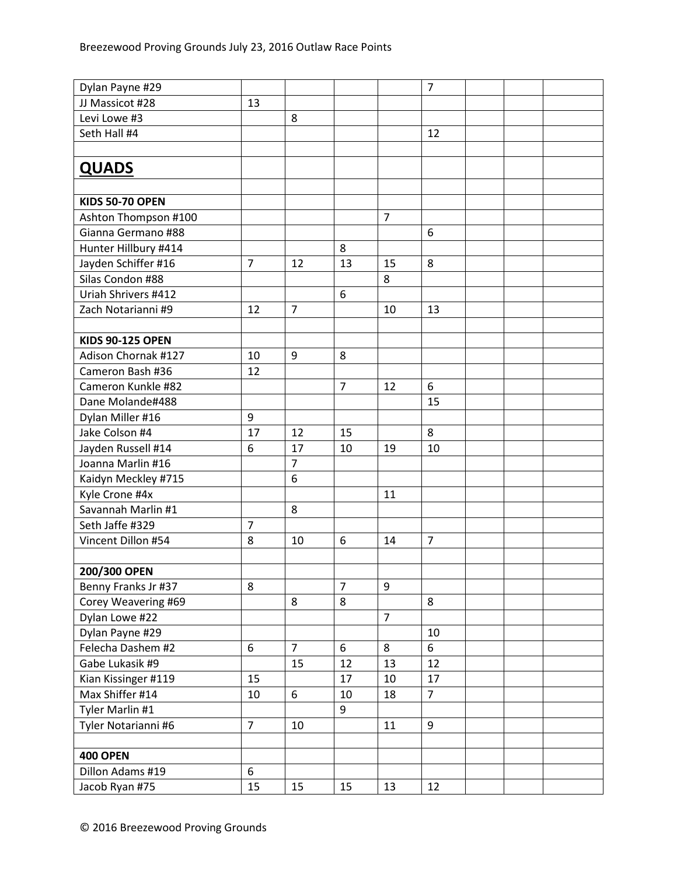| Dylan Payne #29         |                |                |                |                | $\overline{7}$ |  |  |
|-------------------------|----------------|----------------|----------------|----------------|----------------|--|--|
| JJ Massicot #28         | 13             |                |                |                |                |  |  |
| Levi Lowe #3            |                | 8              |                |                |                |  |  |
| Seth Hall #4            |                |                |                |                | 12             |  |  |
|                         |                |                |                |                |                |  |  |
| <b>QUADS</b>            |                |                |                |                |                |  |  |
|                         |                |                |                |                |                |  |  |
| <b>KIDS 50-70 OPEN</b>  |                |                |                |                |                |  |  |
| Ashton Thompson #100    |                |                |                | $\overline{7}$ |                |  |  |
| Gianna Germano #88      |                |                |                |                | 6              |  |  |
| Hunter Hillbury #414    |                |                | 8              |                |                |  |  |
| Jayden Schiffer #16     | $\overline{7}$ | 12             | 13             | 15             | 8              |  |  |
| Silas Condon #88        |                |                |                | 8              |                |  |  |
| Uriah Shrivers #412     |                |                | 6              |                |                |  |  |
| Zach Notarianni #9      | 12             | $\overline{7}$ |                | 10             | 13             |  |  |
|                         |                |                |                |                |                |  |  |
| <b>KIDS 90-125 OPEN</b> |                |                |                |                |                |  |  |
| Adison Chornak #127     | 10             | 9              | 8              |                |                |  |  |
| Cameron Bash #36        | 12             |                |                |                |                |  |  |
| Cameron Kunkle #82      |                |                | $\overline{7}$ | 12             | 6              |  |  |
| Dane Molande#488        |                |                |                |                | 15             |  |  |
| Dylan Miller #16        | 9              |                |                |                |                |  |  |
| Jake Colson #4          | 17             | 12             | 15             |                | 8              |  |  |
| Jayden Russell #14      | 6              | 17             | 10             | 19             | 10             |  |  |
| Joanna Marlin #16       |                | $\overline{7}$ |                |                |                |  |  |
| Kaidyn Meckley #715     |                | 6              |                |                |                |  |  |
| Kyle Crone #4x          |                |                |                | 11             |                |  |  |
| Savannah Marlin #1      |                | 8              |                |                |                |  |  |
| Seth Jaffe #329         | 7              |                |                |                |                |  |  |
| Vincent Dillon #54      | 8              | 10             | 6              | 14             | $\overline{7}$ |  |  |
|                         |                |                |                |                |                |  |  |
| 200/300 OPEN            |                |                |                |                |                |  |  |
| Benny Franks Jr #37     | 8              |                | $\overline{7}$ | 9              |                |  |  |
| Corey Weavering #69     |                | 8              | 8              |                | 8              |  |  |
| Dylan Lowe #22          |                |                |                | $\overline{7}$ |                |  |  |
| Dylan Payne #29         |                |                |                |                | 10             |  |  |
| Felecha Dashem #2       | 6              | $\overline{7}$ | $6\phantom{1}$ | 8              | 6              |  |  |
| Gabe Lukasik #9         |                | 15             | 12             | 13             | 12             |  |  |
| Kian Kissinger #119     | 15             |                | 17             | 10             | 17             |  |  |
| Max Shiffer #14         | 10             | 6              | 10             | 18             | $\overline{7}$ |  |  |
| Tyler Marlin #1         |                |                | $\overline{9}$ |                |                |  |  |
| Tyler Notarianni #6     | $\overline{7}$ | 10             |                | 11             | 9              |  |  |
|                         |                |                |                |                |                |  |  |
| <b>400 OPEN</b>         |                |                |                |                |                |  |  |
| Dillon Adams #19        | 6              |                |                |                |                |  |  |
| Jacob Ryan #75          | 15             | 15             | 15             | 13             | 12             |  |  |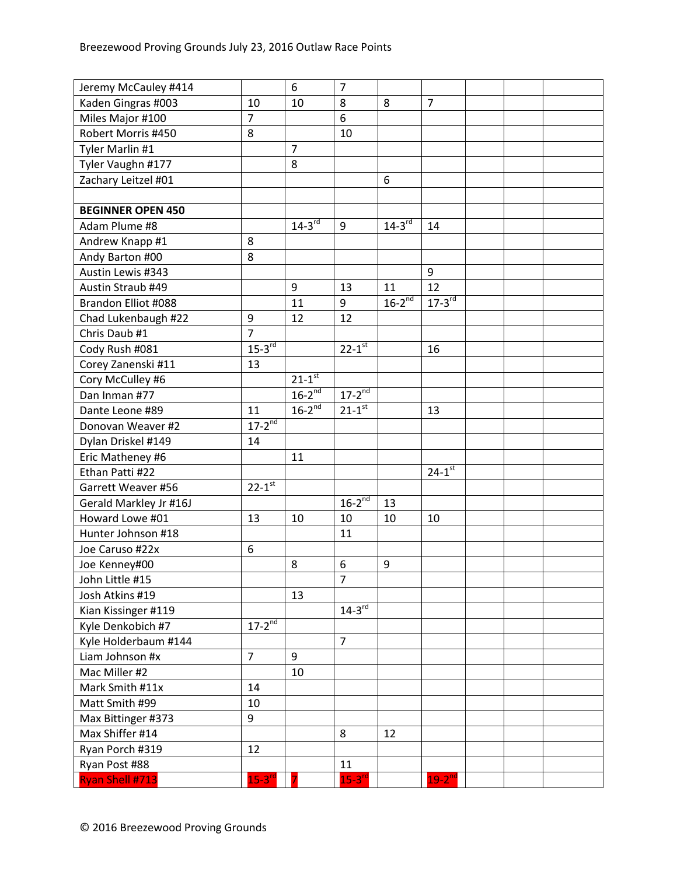| Jeremy McCauley #414     |                | $\boldsymbol{6}$     | $\overline{7}$         |                      |                      |  |  |
|--------------------------|----------------|----------------------|------------------------|----------------------|----------------------|--|--|
| Kaden Gingras #003       | 10             | 10                   | 8                      | 8                    | $\overline{7}$       |  |  |
| Miles Major #100         | $\overline{7}$ |                      | 6                      |                      |                      |  |  |
| Robert Morris #450       | 8              |                      | 10                     |                      |                      |  |  |
| Tyler Marlin #1          |                | $\overline{7}$       |                        |                      |                      |  |  |
| Tyler Vaughn #177        |                | 8                    |                        |                      |                      |  |  |
| Zachary Leitzel #01      |                |                      |                        | 6                    |                      |  |  |
|                          |                |                      |                        |                      |                      |  |  |
| <b>BEGINNER OPEN 450</b> |                |                      |                        |                      |                      |  |  |
| Adam Plume #8            |                | $14-3$ <sup>rd</sup> | 9                      | $14-3$ <sup>rd</sup> | 14                   |  |  |
| Andrew Knapp #1          | 8              |                      |                        |                      |                      |  |  |
| Andy Barton #00          | 8              |                      |                        |                      |                      |  |  |
| Austin Lewis #343        |                |                      |                        |                      | 9                    |  |  |
| Austin Straub #49        |                | 9                    | 13                     | 11                   | 12                   |  |  |
| Brandon Elliot #088      |                | 11                   | 9                      | $16-2^{nd}$          | $17-3$ <sup>rd</sup> |  |  |
| Chad Lukenbaugh #22      | 9              | 12                   | 12                     |                      |                      |  |  |
| Chris Daub #1            | $\overline{7}$ |                      |                        |                      |                      |  |  |
| Cody Rush #081           | $15-3^{rd}$    |                      | $22 - 1$ <sup>st</sup> |                      | 16                   |  |  |
| Corey Zanenski #11       | 13             |                      |                        |                      |                      |  |  |
| Cory McCulley #6         |                | $21-1$ <sup>st</sup> |                        |                      |                      |  |  |
| Dan Inman #77            |                | $16-2^{nd}$          | $17 - 2^{nd}$          |                      |                      |  |  |
| Dante Leone #89          | 11             | $16-2^{nd}$          | $21-1$ <sup>st</sup>   |                      | 13                   |  |  |
| Donovan Weaver #2        | $17 - 2^{nd}$  |                      |                        |                      |                      |  |  |
| Dylan Driskel #149       | 14             |                      |                        |                      |                      |  |  |
| Eric Matheney #6         |                | 11                   |                        |                      |                      |  |  |
| Ethan Patti #22          |                |                      |                        |                      | $24-1$ <sup>st</sup> |  |  |
| Garrett Weaver #56       | $22 - 1^{st}$  |                      |                        |                      |                      |  |  |
| Gerald Markley Jr #16J   |                |                      | $16-2^{nd}$            | 13                   |                      |  |  |
| Howard Lowe #01          | 13             | 10                   | 10                     | 10                   | 10                   |  |  |
| Hunter Johnson #18       |                |                      | 11                     |                      |                      |  |  |
| Joe Caruso #22x          | 6              |                      |                        |                      |                      |  |  |
| Joe Kenney#00            |                | 8                    | 6                      | 9                    |                      |  |  |
| John Little #15          |                |                      | $\overline{7}$         |                      |                      |  |  |
| Josh Atkins #19          |                | 13                   |                        |                      |                      |  |  |
| Kian Kissinger #119      |                |                      | $14-3^{rd}$            |                      |                      |  |  |
| Kyle Denkobich #7        | $17 - 2^{nd}$  |                      |                        |                      |                      |  |  |
| Kyle Holderbaum #144     |                |                      | $\overline{7}$         |                      |                      |  |  |
| Liam Johnson #x          | $\overline{7}$ | 9                    |                        |                      |                      |  |  |
| Mac Miller #2            |                | 10                   |                        |                      |                      |  |  |
| Mark Smith #11x          | 14             |                      |                        |                      |                      |  |  |
| Matt Smith #99           | 10             |                      |                        |                      |                      |  |  |
| Max Bittinger #373       | 9              |                      |                        |                      |                      |  |  |
| Max Shiffer #14          |                |                      | 8                      | 12                   |                      |  |  |
| Ryan Porch #319          | 12             |                      |                        |                      |                      |  |  |
| Ryan Post #88            |                |                      | 11                     |                      |                      |  |  |
| <b>Ryan Shell #713</b>   | $15 - 3^{rd}$  |                      | $15-3$ <sup>rd</sup>   |                      | $19-2$ <sup>nd</sup> |  |  |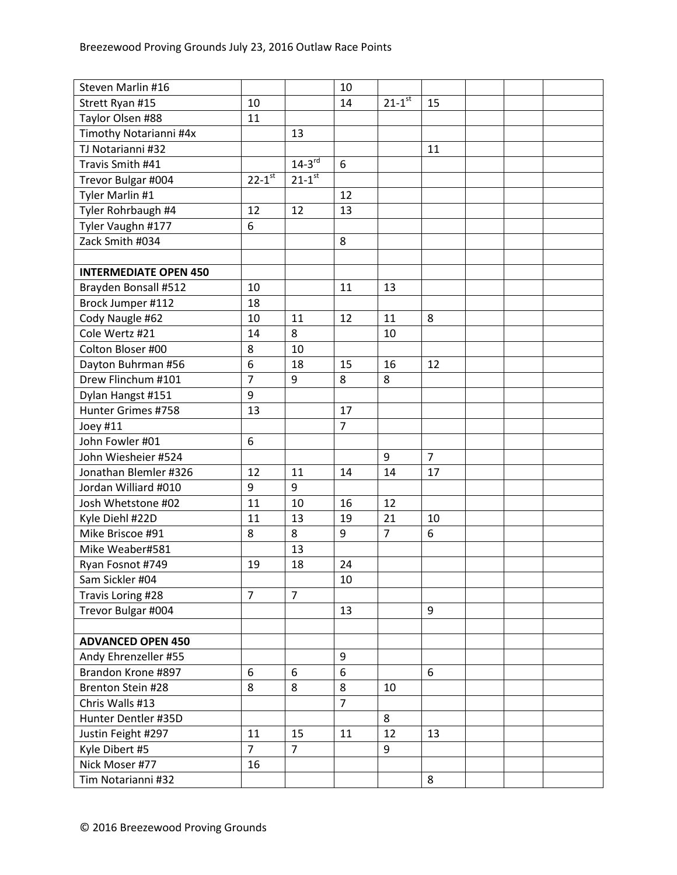| Steven Marlin #16            |                        |                        | 10             |                        |                |  |  |
|------------------------------|------------------------|------------------------|----------------|------------------------|----------------|--|--|
| Strett Ryan #15              | 10                     |                        | 14             | $21 - 1$ <sup>st</sup> | 15             |  |  |
| Taylor Olsen #88             | 11                     |                        |                |                        |                |  |  |
| Timothy Notarianni #4x       |                        | 13                     |                |                        |                |  |  |
| TJ Notarianni #32            |                        |                        |                |                        | 11             |  |  |
| Travis Smith #41             |                        | $14-3^{rd}$            | 6              |                        |                |  |  |
| Trevor Bulgar #004           | $22 - 1$ <sup>st</sup> | $21 - 1$ <sup>st</sup> |                |                        |                |  |  |
| Tyler Marlin #1              |                        |                        | 12             |                        |                |  |  |
| Tyler Rohrbaugh #4           | 12                     | 12                     | 13             |                        |                |  |  |
| Tyler Vaughn #177            | 6                      |                        |                |                        |                |  |  |
| Zack Smith #034              |                        |                        | 8              |                        |                |  |  |
|                              |                        |                        |                |                        |                |  |  |
| <b>INTERMEDIATE OPEN 450</b> |                        |                        |                |                        |                |  |  |
| Brayden Bonsall #512         | 10                     |                        | 11             | 13                     |                |  |  |
| Brock Jumper #112            | 18                     |                        |                |                        |                |  |  |
| Cody Naugle #62              | 10                     | 11                     | 12             | 11                     | 8              |  |  |
| Cole Wertz #21               | 14                     | 8                      |                | 10                     |                |  |  |
| Colton Bloser #00            | 8                      | 10                     |                |                        |                |  |  |
| Dayton Buhrman #56           | $\boldsymbol{6}$       | 18                     | 15             | 16                     | 12             |  |  |
| Drew Flinchum #101           | $\overline{7}$         | 9                      | 8              | 8                      |                |  |  |
| Dylan Hangst #151            | 9                      |                        |                |                        |                |  |  |
| Hunter Grimes #758           | 13                     |                        | 17             |                        |                |  |  |
| Joey #11                     |                        |                        | $\overline{7}$ |                        |                |  |  |
| John Fowler #01              | 6                      |                        |                |                        |                |  |  |
| John Wiesheier #524          |                        |                        |                | 9                      | $\overline{7}$ |  |  |
| Jonathan Blemler #326        | 12                     | 11                     | 14             | 14                     | 17             |  |  |
| Jordan Williard #010         | 9                      | 9                      |                |                        |                |  |  |
| Josh Whetstone #02           | 11                     | 10                     | 16             | 12                     |                |  |  |
| Kyle Diehl #22D              | 11                     | 13                     | 19             | 21                     | 10             |  |  |
| Mike Briscoe #91             | 8                      | 8                      | 9              | $\overline{7}$         | 6              |  |  |
| Mike Weaber#581              |                        | 13                     |                |                        |                |  |  |
| Ryan Fosnot #749             | 19                     | 18                     | 24             |                        |                |  |  |
| Sam Sickler #04              |                        |                        | 10             |                        |                |  |  |
| Travis Loring #28            | $\overline{7}$         | $\overline{7}$         |                |                        |                |  |  |
| Trevor Bulgar #004           |                        |                        | 13             |                        | 9              |  |  |
|                              |                        |                        |                |                        |                |  |  |
| <b>ADVANCED OPEN 450</b>     |                        |                        |                |                        |                |  |  |
| Andy Ehrenzeller #55         |                        |                        | 9              |                        |                |  |  |
| Brandon Krone #897           | 6                      | 6                      | 6              |                        | 6              |  |  |
| Brenton Stein #28            | 8                      | 8                      | 8              | 10                     |                |  |  |
| Chris Walls #13              |                        |                        | $\overline{7}$ |                        |                |  |  |
|                              |                        |                        |                |                        |                |  |  |
| Hunter Dentler #35D          |                        |                        |                | 8                      |                |  |  |
| Justin Feight #297           | 11                     | 15                     | 11             | 12                     | 13             |  |  |
| Kyle Dibert #5               | $\overline{7}$         | $\overline{7}$         |                | 9                      |                |  |  |
| Nick Moser #77               | 16                     |                        |                |                        |                |  |  |
| Tim Notarianni #32           |                        |                        |                |                        | 8              |  |  |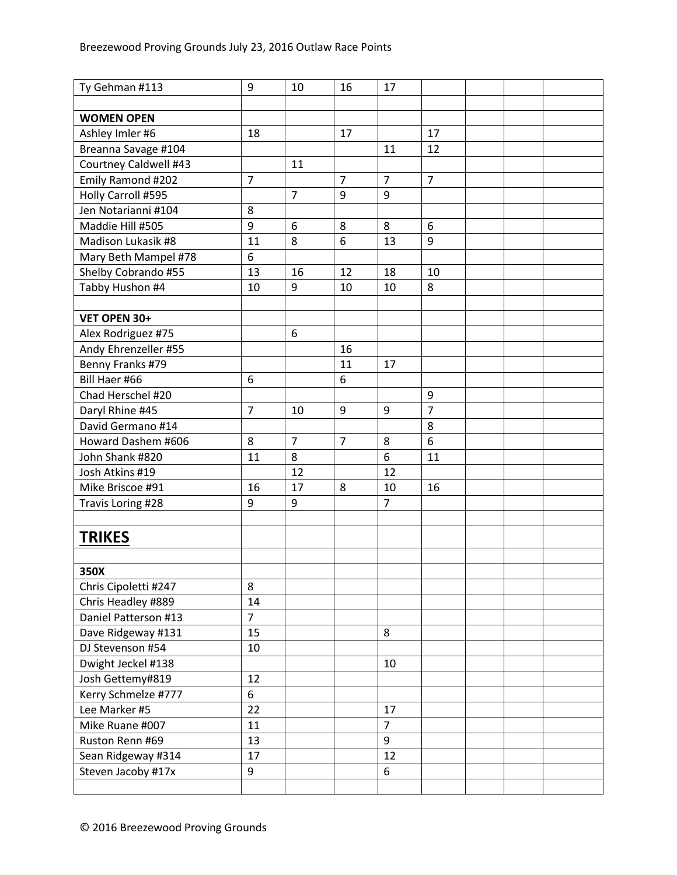| Ty Gehman #113        | 9              | 10             | 16             | 17             |                |  |  |
|-----------------------|----------------|----------------|----------------|----------------|----------------|--|--|
|                       |                |                |                |                |                |  |  |
| <b>WOMEN OPEN</b>     |                |                |                |                |                |  |  |
| Ashley Imler #6       | 18             |                | 17             |                | 17             |  |  |
| Breanna Savage #104   |                |                |                | 11             | 12             |  |  |
| Courtney Caldwell #43 |                | 11             |                |                |                |  |  |
| Emily Ramond #202     | $\overline{7}$ |                | $\overline{7}$ | $\overline{7}$ | $\overline{7}$ |  |  |
| Holly Carroll #595    |                | $\overline{7}$ | 9              | 9              |                |  |  |
| Jen Notarianni #104   | 8              |                |                |                |                |  |  |
| Maddie Hill #505      | 9              | 6              | 8              | 8              | 6              |  |  |
| Madison Lukasik #8    | 11             | 8              | 6              | 13             | 9              |  |  |
| Mary Beth Mampel #78  | 6              |                |                |                |                |  |  |
| Shelby Cobrando #55   | 13             | 16             | 12             | 18             | 10             |  |  |
| Tabby Hushon #4       | 10             | 9              | 10             | 10             | 8              |  |  |
|                       |                |                |                |                |                |  |  |
| VET OPEN 30+          |                |                |                |                |                |  |  |
| Alex Rodriguez #75    |                | 6              |                |                |                |  |  |
| Andy Ehrenzeller #55  |                |                | 16             |                |                |  |  |
| Benny Franks #79      |                |                | 11             | 17             |                |  |  |
| Bill Haer #66         | 6              |                | 6              |                |                |  |  |
| Chad Herschel #20     |                |                |                |                | 9              |  |  |
| Daryl Rhine #45       | $\overline{7}$ | 10             | 9              | 9              | $\overline{7}$ |  |  |
| David Germano #14     |                |                |                |                | 8              |  |  |
| Howard Dashem #606    | 8              | $\overline{7}$ | $\overline{7}$ | 8              | 6              |  |  |
| John Shank #820       | 11             | 8              |                | 6              | 11             |  |  |
| Josh Atkins #19       |                | 12             |                | 12             |                |  |  |
| Mike Briscoe #91      | 16             | 17             | 8              | 10             | 16             |  |  |
|                       | 9              |                |                | $\overline{7}$ |                |  |  |
| Travis Loring #28     |                | 9              |                |                |                |  |  |
|                       |                |                |                |                |                |  |  |
| <b>TRIKES</b>         |                |                |                |                |                |  |  |
|                       |                |                |                |                |                |  |  |
| 350X                  |                |                |                |                |                |  |  |
| Chris Cipoletti #247  | 8              |                |                |                |                |  |  |
| Chris Headley #889    | 14             |                |                |                |                |  |  |
| Daniel Patterson #13  | $\overline{7}$ |                |                |                |                |  |  |
| Dave Ridgeway #131    | 15             |                |                | 8              |                |  |  |
| DJ Stevenson #54      | 10             |                |                |                |                |  |  |
| Dwight Jeckel #138    |                |                |                | 10             |                |  |  |
| Josh Gettemy#819      | 12             |                |                |                |                |  |  |
| Kerry Schmelze #777   | 6              |                |                |                |                |  |  |
| Lee Marker #5         | 22             |                |                | 17             |                |  |  |
| Mike Ruane #007       | 11             |                |                | $\overline{7}$ |                |  |  |
| Ruston Renn #69       | 13             |                |                | 9              |                |  |  |
| Sean Ridgeway #314    | 17             |                |                | 12             |                |  |  |
| Steven Jacoby #17x    | 9              |                |                | 6              |                |  |  |
|                       |                |                |                |                |                |  |  |
|                       |                |                |                |                |                |  |  |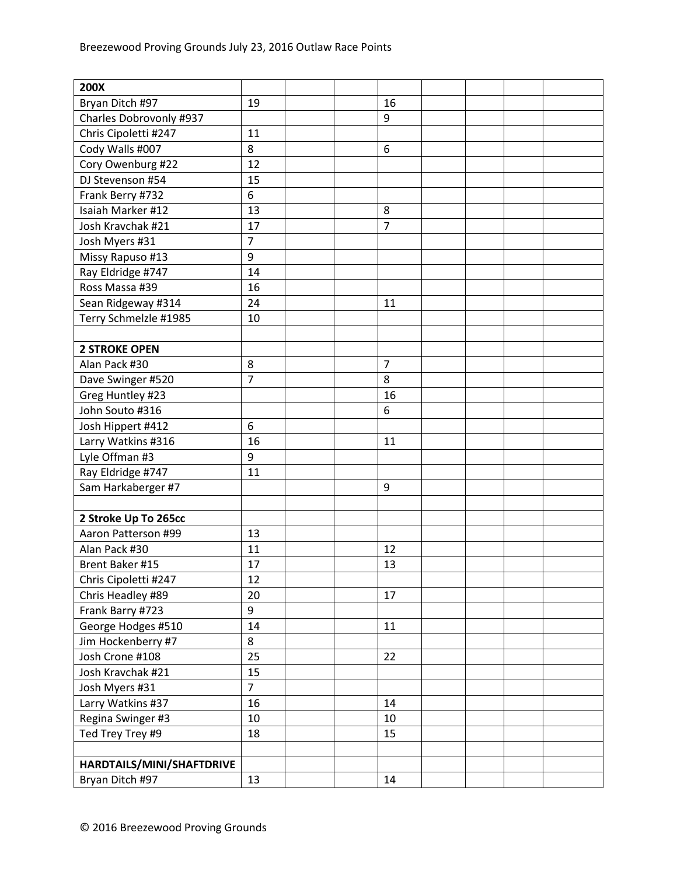| 200X                      |                |  |                |  |  |
|---------------------------|----------------|--|----------------|--|--|
| Bryan Ditch #97           | 19             |  | 16             |  |  |
| Charles Dobrovonly #937   |                |  | 9              |  |  |
| Chris Cipoletti #247      | 11             |  |                |  |  |
| Cody Walls #007           | 8              |  | 6              |  |  |
| Cory Owenburg #22         | 12             |  |                |  |  |
| DJ Stevenson #54          | 15             |  |                |  |  |
| Frank Berry #732          | 6              |  |                |  |  |
| Isaiah Marker #12         | 13             |  | 8              |  |  |
| Josh Kravchak #21         | 17             |  | $\overline{7}$ |  |  |
| Josh Myers #31            | $\overline{7}$ |  |                |  |  |
| Missy Rapuso #13          | 9              |  |                |  |  |
| Ray Eldridge #747         | 14             |  |                |  |  |
| Ross Massa #39            | 16             |  |                |  |  |
| Sean Ridgeway #314        | 24             |  | 11             |  |  |
| Terry Schmelzle #1985     | 10             |  |                |  |  |
|                           |                |  |                |  |  |
| <b>2 STROKE OPEN</b>      |                |  |                |  |  |
| Alan Pack #30             | 8              |  | $\overline{7}$ |  |  |
| Dave Swinger #520         | $\overline{7}$ |  | 8              |  |  |
| Greg Huntley #23          |                |  | 16             |  |  |
| John Souto #316           |                |  | 6              |  |  |
| Josh Hippert #412         | 6              |  |                |  |  |
| Larry Watkins #316        | 16             |  | 11             |  |  |
| Lyle Offman #3            | 9              |  |                |  |  |
| Ray Eldridge #747         | 11             |  |                |  |  |
| Sam Harkaberger #7        |                |  | 9              |  |  |
|                           |                |  |                |  |  |
| 2 Stroke Up To 265cc      |                |  |                |  |  |
| Aaron Patterson #99       | 13             |  |                |  |  |
| Alan Pack #30             | 11             |  | 12             |  |  |
| Brent Baker #15           | 17             |  | 13             |  |  |
| Chris Cipoletti #247      | 12             |  |                |  |  |
| Chris Headley #89         | 20             |  | 17             |  |  |
| Frank Barry #723          | 9              |  |                |  |  |
| George Hodges #510        | 14             |  | 11             |  |  |
| Jim Hockenberry #7        | 8              |  |                |  |  |
| Josh Crone #108           | 25             |  | 22             |  |  |
| Josh Kravchak #21         | 15             |  |                |  |  |
| Josh Myers #31            | $\overline{7}$ |  |                |  |  |
| Larry Watkins #37         | 16             |  | 14             |  |  |
| Regina Swinger #3         | 10             |  | 10             |  |  |
| Ted Trey Trey #9          | 18             |  | 15             |  |  |
|                           |                |  |                |  |  |
| HARDTAILS/MINI/SHAFTDRIVE |                |  |                |  |  |
| Bryan Ditch #97           | 13             |  | 14             |  |  |